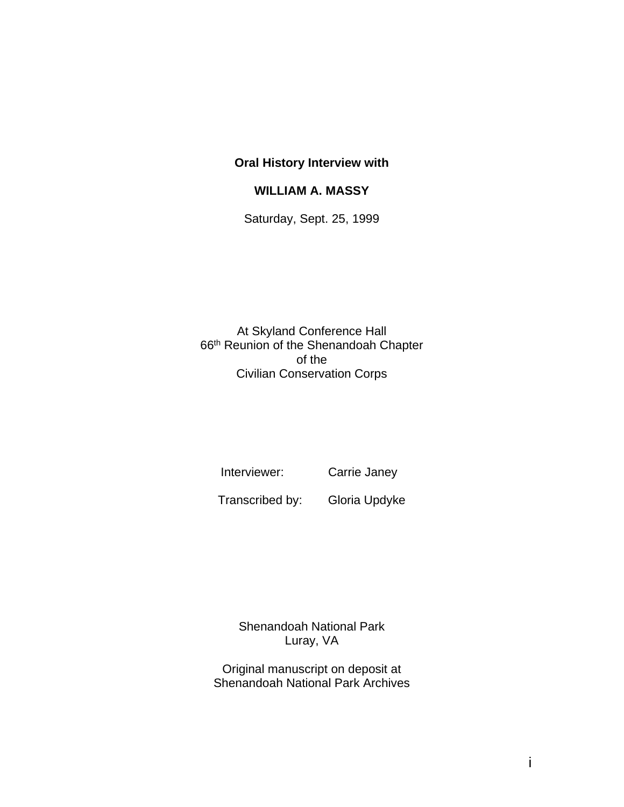#### **Oral History Interview with**

#### **WILLIAM A. MASSY**

Saturday, Sept. 25, 1999

At Skyland Conference Hall 66th Reunion of the Shenandoah Chapter of the Civilian Conservation Corps

Interviewer: Carrie Janey

Transcribed by: Gloria Updyke

Shenandoah National Park Luray, VA

Original manuscript on deposit at Shenandoah National Park Archives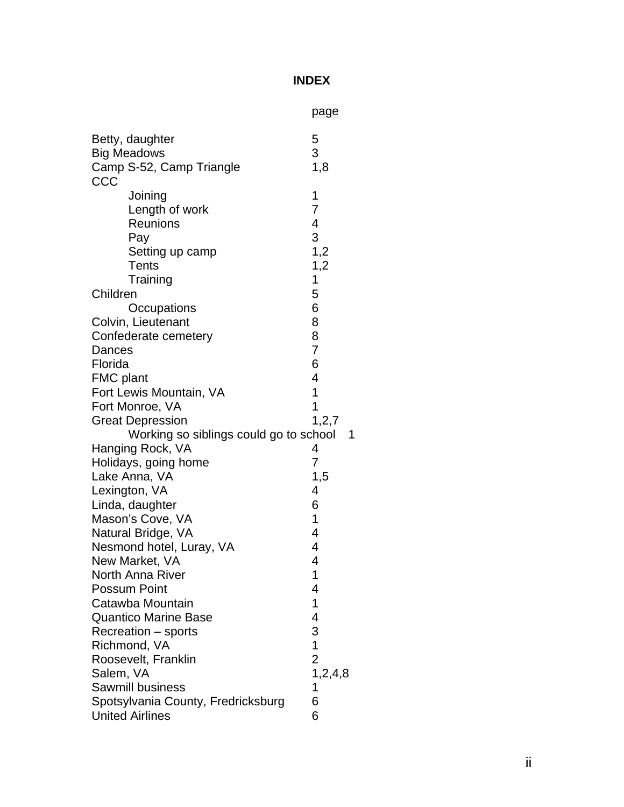# **INDEX**

|                                        | <u>page</u>             |
|----------------------------------------|-------------------------|
| Betty, daughter                        | 5                       |
| <b>Big Meadows</b>                     | 3                       |
| Camp S-52, Camp Triangle               | 1,8                     |
| CCC                                    |                         |
| Joining                                | 1                       |
| Length of work                         | 7                       |
| <b>Reunions</b>                        | $\overline{\mathbf{4}}$ |
| Pay                                    | 3                       |
| Setting up camp                        | 1,2                     |
| Tents                                  | 1,2                     |
| Training                               | 1                       |
| Children                               | 5                       |
| Occupations                            | 6                       |
| Colvin, Lieutenant                     | 8                       |
| Confederate cemetery                   | 8                       |
| Dances                                 | $\overline{7}$          |
| Florida                                | 6                       |
| FMC plant                              | 4                       |
| Fort Lewis Mountain, VA                | 1                       |
| Fort Monroe, VA                        | 1                       |
| <b>Great Depression</b>                | 1, 2, 7                 |
| Working so siblings could go to school | 1                       |
| Hanging Rock, VA                       | 4                       |
| Holidays, going home                   | 7                       |
| Lake Anna, VA                          | 1,5                     |
| Lexington, VA                          | 4                       |
| Linda, daughter                        | 6                       |
| Mason's Cove, VA                       | 1                       |
| Natural Bridge, VA                     | $\overline{4}$          |
| Nesmond hotel, Luray, VA               | 4                       |
| New Market, VA                         | 4                       |
| <b>North Anna River</b>                | 1                       |
| <b>Possum Point</b>                    | 4                       |
| Catawba Mountain                       | 1                       |
| <b>Quantico Marine Base</b>            | 4                       |
| Recreation - sports                    | 3                       |
| Richmond, VA                           | $\mathbf 1$             |
| Roosevelt, Franklin                    | $\overline{2}$          |
| Salem, VA                              | 1, 2, 4, 8              |
| <b>Sawmill business</b>                | 1                       |
| Spotsylvania County, Fredricksburg     | 6                       |
| <b>United Airlines</b>                 | 6                       |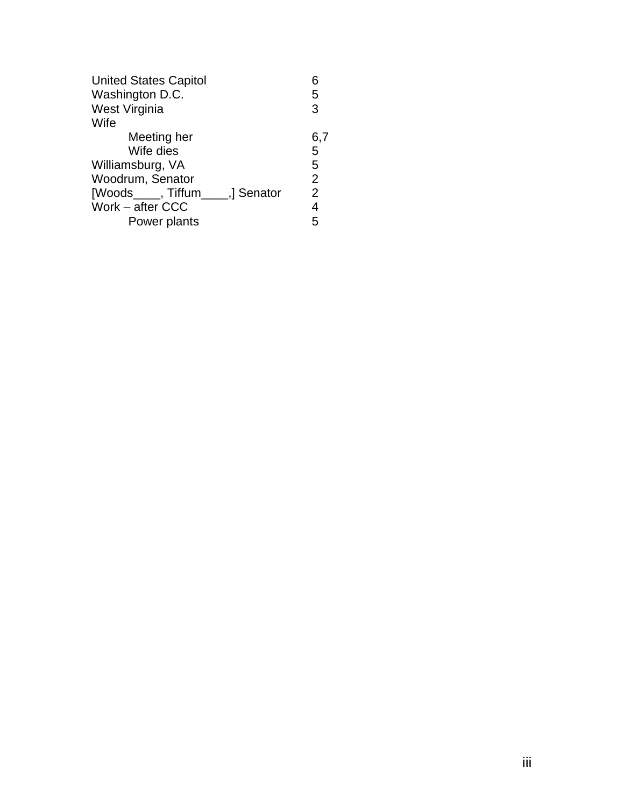| <b>United States Capitol</b>     | 6              |
|----------------------------------|----------------|
| Washington D.C.                  | 5              |
| West Virginia                    | 3              |
| Wife                             |                |
| Meeting her                      | 6,7            |
| Wife dies                        | 5              |
| Williamsburg, VA                 | 5              |
| Woodrum, Senator                 | $\overline{2}$ |
| [Woods____, Tiffum____,] Senator | $\overline{2}$ |
| Work - after CCC                 | 4              |
| Power plants                     | 5              |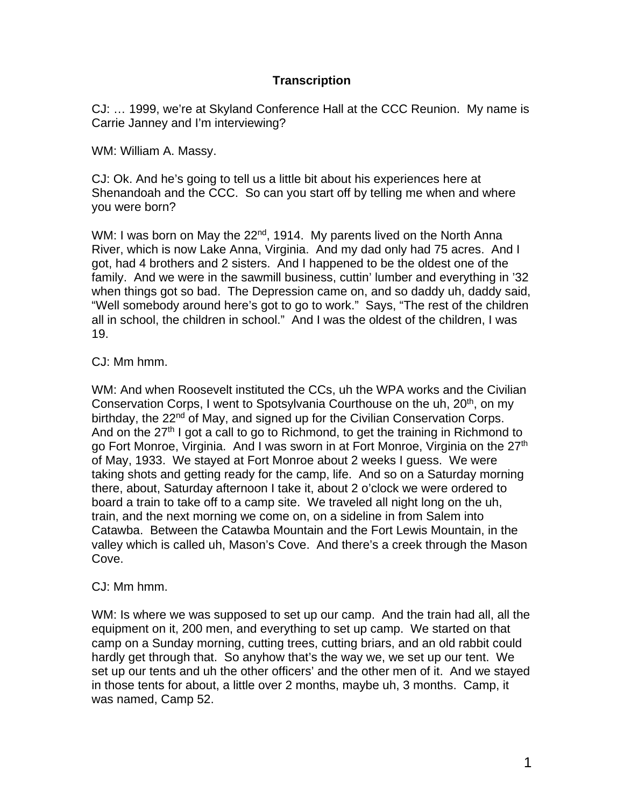# **Transcription**

CJ: … 1999, we're at Skyland Conference Hall at the CCC Reunion. My name is Carrie Janney and I'm interviewing?

WM: William A. Massy.

CJ: Ok. And he's going to tell us a little bit about his experiences here at Shenandoah and the CCC. So can you start off by telling me when and where you were born?

WM: I was born on May the 22<sup>nd</sup>, 1914. My parents lived on the North Anna River, which is now Lake Anna, Virginia. And my dad only had 75 acres. And I got, had 4 brothers and 2 sisters. And I happened to be the oldest one of the family. And we were in the sawmill business, cuttin' lumber and everything in '32 when things got so bad. The Depression came on, and so daddy uh, daddy said, "Well somebody around here's got to go to work." Says, "The rest of the children all in school, the children in school." And I was the oldest of the children, I was 19.

### CJ: Mm hmm.

WM: And when Roosevelt instituted the CCs, uh the WPA works and the Civilian Conservation Corps, I went to Spotsylvania Courthouse on the uh, 20<sup>th</sup>, on my birthday, the 22<sup>nd</sup> of May, and signed up for the Civilian Conservation Corps. And on the  $27<sup>th</sup>$  I got a call to go to Richmond, to get the training in Richmond to go Fort Monroe, Virginia. And I was sworn in at Fort Monroe, Virginia on the 27<sup>th</sup> of May, 1933. We stayed at Fort Monroe about 2 weeks I guess. We were taking shots and getting ready for the camp, life. And so on a Saturday morning there, about, Saturday afternoon I take it, about 2 o'clock we were ordered to board a train to take off to a camp site. We traveled all night long on the uh, train, and the next morning we come on, on a sideline in from Salem into Catawba. Between the Catawba Mountain and the Fort Lewis Mountain, in the valley which is called uh, Mason's Cove. And there's a creek through the Mason Cove.

#### CJ: Mm hmm.

WM: Is where we was supposed to set up our camp. And the train had all, all the equipment on it, 200 men, and everything to set up camp. We started on that camp on a Sunday morning, cutting trees, cutting briars, and an old rabbit could hardly get through that. So anyhow that's the way we, we set up our tent. We set up our tents and uh the other officers' and the other men of it. And we stayed in those tents for about, a little over 2 months, maybe uh, 3 months. Camp, it was named, Camp 52.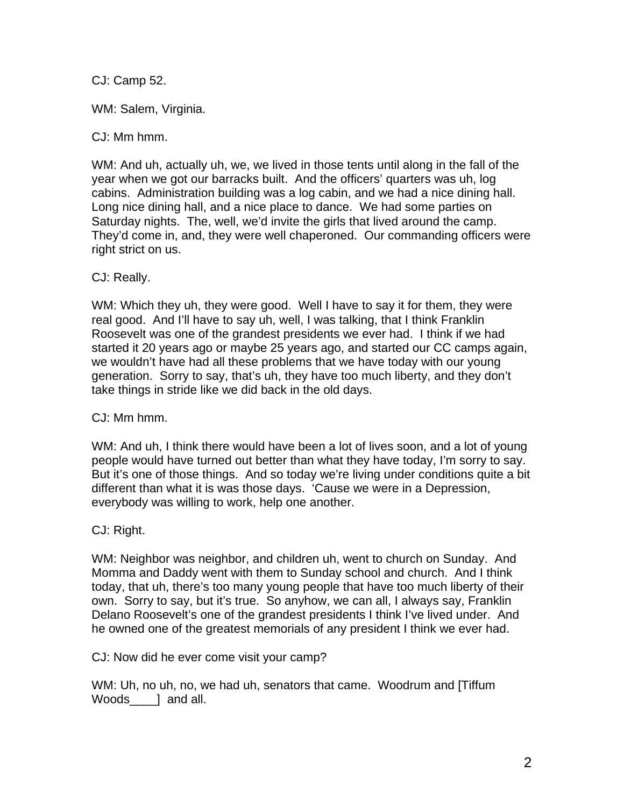CJ: Camp 52.

WM: Salem, Virginia.

CJ: Mm hmm.

WM: And uh, actually uh, we, we lived in those tents until along in the fall of the year when we got our barracks built. And the officers' quarters was uh, log cabins. Administration building was a log cabin, and we had a nice dining hall. Long nice dining hall, and a nice place to dance. We had some parties on Saturday nights. The, well, we'd invite the girls that lived around the camp. They'd come in, and, they were well chaperoned. Our commanding officers were right strict on us.

CJ: Really.

WM: Which they uh, they were good. Well I have to say it for them, they were real good. And I'll have to say uh, well, I was talking, that I think Franklin Roosevelt was one of the grandest presidents we ever had. I think if we had started it 20 years ago or maybe 25 years ago, and started our CC camps again, we wouldn't have had all these problems that we have today with our young generation. Sorry to say, that's uh, they have too much liberty, and they don't take things in stride like we did back in the old days.

CJ: Mm hmm.

WM: And uh, I think there would have been a lot of lives soon, and a lot of young people would have turned out better than what they have today, I'm sorry to say. But it's one of those things. And so today we're living under conditions quite a bit different than what it is was those days. 'Cause we were in a Depression, everybody was willing to work, help one another.

CJ: Right.

WM: Neighbor was neighbor, and children uh, went to church on Sunday. And Momma and Daddy went with them to Sunday school and church. And I think today, that uh, there's too many young people that have too much liberty of their own. Sorry to say, but it's true. So anyhow, we can all, I always say, Franklin Delano Roosevelt's one of the grandest presidents I think I've lived under. And he owned one of the greatest memorials of any president I think we ever had.

CJ: Now did he ever come visit your camp?

WM: Uh, no uh, no, we had uh, senators that came. Woodrum and [Tiffum Woods\_\_\_\_] and all.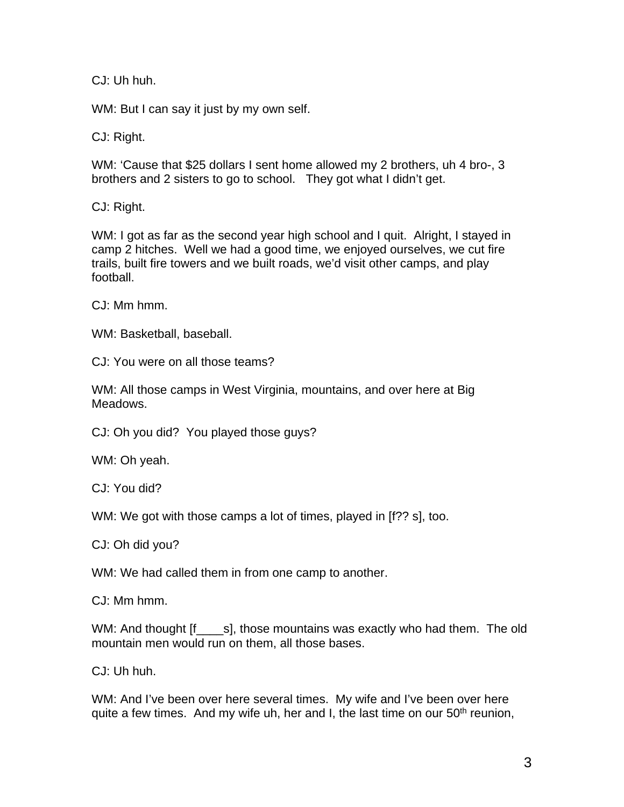CJ: Uh huh.

WM: But I can say it just by my own self.

CJ: Right.

WM: 'Cause that \$25 dollars I sent home allowed my 2 brothers, uh 4 bro-, 3 brothers and 2 sisters to go to school. They got what I didn't get.

CJ: Right.

WM: I got as far as the second year high school and I quit. Alright, I stayed in camp 2 hitches. Well we had a good time, we enjoyed ourselves, we cut fire trails, built fire towers and we built roads, we'd visit other camps, and play football.

CJ: Mm hmm.

WM: Basketball, baseball.

CJ: You were on all those teams?

WM: All those camps in West Virginia, mountains, and over here at Big Meadows.

CJ: Oh you did? You played those guys?

WM: Oh yeah.

CJ: You did?

WM: We got with those camps a lot of times, played in [f?? s], too.

CJ: Oh did you?

WM: We had called them in from one camp to another.

CJ: Mm hmm.

WM: And thought [f\_\_\_\_s], those mountains was exactly who had them. The old mountain men would run on them, all those bases.

CJ: Uh huh.

WM: And I've been over here several times. My wife and I've been over here quite a few times. And my wife uh, her and I, the last time on our  $50<sup>th</sup>$  reunion,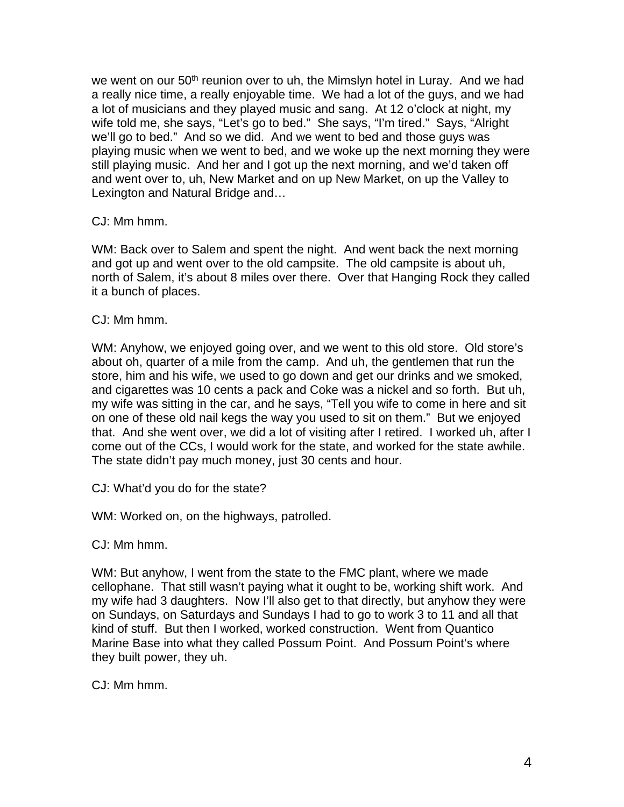we went on our 50<sup>th</sup> reunion over to uh, the Mimslyn hotel in Luray. And we had a really nice time, a really enjoyable time. We had a lot of the guys, and we had a lot of musicians and they played music and sang. At 12 o'clock at night, my wife told me, she says, "Let's go to bed." She says, "I'm tired." Says, "Alright we'll go to bed." And so we did. And we went to bed and those guys was playing music when we went to bed, and we woke up the next morning they were still playing music. And her and I got up the next morning, and we'd taken off and went over to, uh, New Market and on up New Market, on up the Valley to Lexington and Natural Bridge and…

### CJ: Mm hmm.

WM: Back over to Salem and spent the night. And went back the next morning and got up and went over to the old campsite. The old campsite is about uh, north of Salem, it's about 8 miles over there. Over that Hanging Rock they called it a bunch of places.

#### CJ: Mm hmm.

WM: Anyhow, we enjoyed going over, and we went to this old store. Old store's about oh, quarter of a mile from the camp. And uh, the gentlemen that run the store, him and his wife, we used to go down and get our drinks and we smoked, and cigarettes was 10 cents a pack and Coke was a nickel and so forth. But uh, my wife was sitting in the car, and he says, "Tell you wife to come in here and sit on one of these old nail kegs the way you used to sit on them." But we enjoyed that. And she went over, we did a lot of visiting after I retired. I worked uh, after I come out of the CCs, I would work for the state, and worked for the state awhile. The state didn't pay much money, just 30 cents and hour.

CJ: What'd you do for the state?

WM: Worked on, on the highways, patrolled.

CJ: Mm hmm.

WM: But anyhow, I went from the state to the FMC plant, where we made cellophane. That still wasn't paying what it ought to be, working shift work. And my wife had 3 daughters. Now I'll also get to that directly, but anyhow they were on Sundays, on Saturdays and Sundays I had to go to work 3 to 11 and all that kind of stuff. But then I worked, worked construction. Went from Quantico Marine Base into what they called Possum Point. And Possum Point's where they built power, they uh.

CJ: Mm hmm.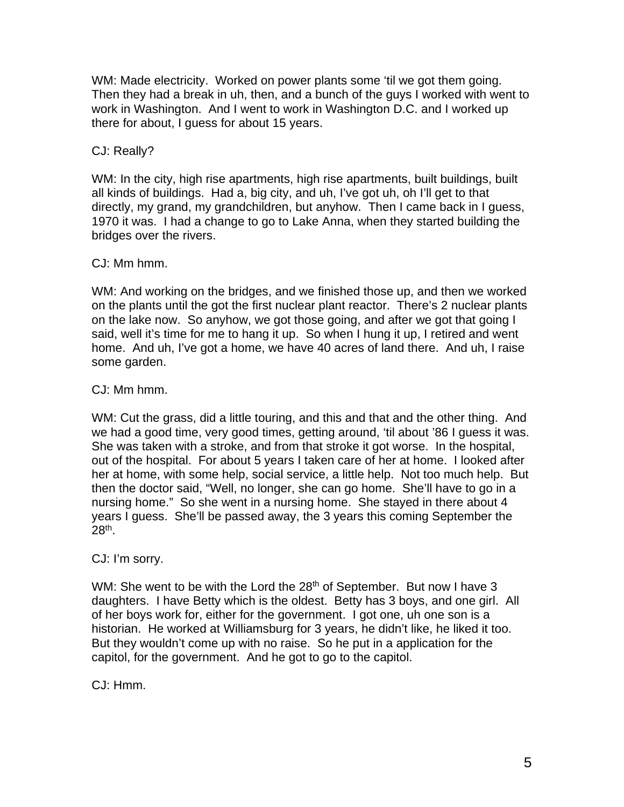WM: Made electricity. Worked on power plants some 'til we got them going. Then they had a break in uh, then, and a bunch of the guys I worked with went to work in Washington. And I went to work in Washington D.C. and I worked up there for about, I guess for about 15 years.

## CJ: Really?

WM: In the city, high rise apartments, high rise apartments, built buildings, built all kinds of buildings. Had a, big city, and uh, I've got uh, oh I'll get to that directly, my grand, my grandchildren, but anyhow. Then I came back in I guess, 1970 it was. I had a change to go to Lake Anna, when they started building the bridges over the rivers.

#### CJ: Mm hmm.

WM: And working on the bridges, and we finished those up, and then we worked on the plants until the got the first nuclear plant reactor. There's 2 nuclear plants on the lake now. So anyhow, we got those going, and after we got that going I said, well it's time for me to hang it up. So when I hung it up, I retired and went home. And uh, I've got a home, we have 40 acres of land there. And uh, I raise some garden.

### CJ: Mm hmm.

WM: Cut the grass, did a little touring, and this and that and the other thing. And we had a good time, very good times, getting around, 'til about '86 I guess it was. She was taken with a stroke, and from that stroke it got worse. In the hospital, out of the hospital. For about 5 years I taken care of her at home. I looked after her at home, with some help, social service, a little help. Not too much help. But then the doctor said, "Well, no longer, she can go home. She'll have to go in a nursing home." So she went in a nursing home. She stayed in there about 4 years I guess. She'll be passed away, the 3 years this coming September the  $28<sup>th</sup>$ .

#### CJ: I'm sorry.

WM: She went to be with the Lord the 28<sup>th</sup> of September. But now I have 3 daughters. I have Betty which is the oldest. Betty has 3 boys, and one girl. All of her boys work for, either for the government. I got one, uh one son is a historian. He worked at Williamsburg for 3 years, he didn't like, he liked it too. But they wouldn't come up with no raise. So he put in a application for the capitol, for the government. And he got to go to the capitol.

CJ: Hmm.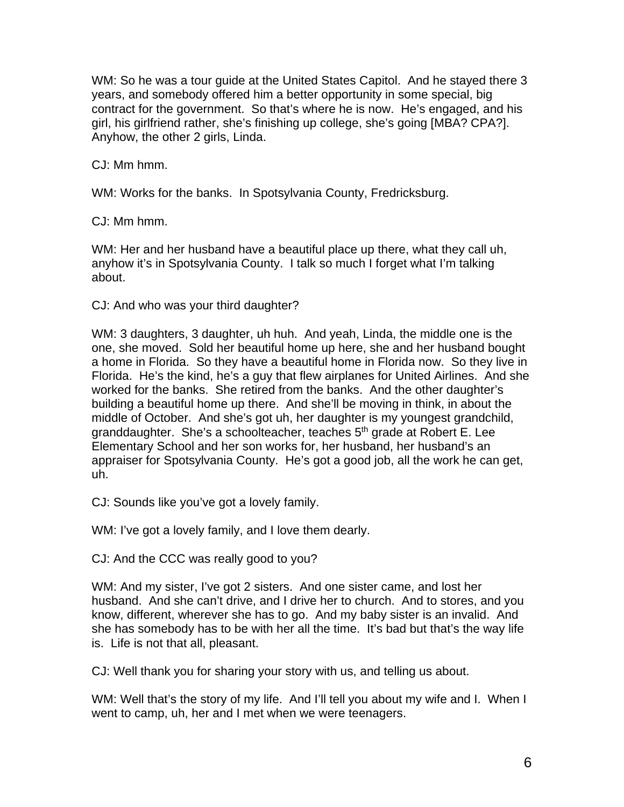WM: So he was a tour guide at the United States Capitol. And he stayed there 3 years, and somebody offered him a better opportunity in some special, big contract for the government. So that's where he is now. He's engaged, and his girl, his girlfriend rather, she's finishing up college, she's going [MBA? CPA?]. Anyhow, the other 2 girls, Linda.

CJ: Mm hmm.

WM: Works for the banks. In Spotsylvania County, Fredricksburg.

CJ: Mm hmm.

WM: Her and her husband have a beautiful place up there, what they call uh, anyhow it's in Spotsylvania County. I talk so much I forget what I'm talking about.

CJ: And who was your third daughter?

WM: 3 daughters, 3 daughter, uh huh. And yeah, Linda, the middle one is the one, she moved. Sold her beautiful home up here, she and her husband bought a home in Florida. So they have a beautiful home in Florida now. So they live in Florida. He's the kind, he's a guy that flew airplanes for United Airlines. And she worked for the banks. She retired from the banks. And the other daughter's building a beautiful home up there. And she'll be moving in think, in about the middle of October. And she's got uh, her daughter is my youngest grandchild, granddaughter. She's a schoolteacher, teaches 5<sup>th</sup> grade at Robert E. Lee Elementary School and her son works for, her husband, her husband's an appraiser for Spotsylvania County. He's got a good job, all the work he can get, uh.

CJ: Sounds like you've got a lovely family.

WM: I've got a lovely family, and I love them dearly.

CJ: And the CCC was really good to you?

WM: And my sister, I've got 2 sisters. And one sister came, and lost her husband. And she can't drive, and I drive her to church. And to stores, and you know, different, wherever she has to go. And my baby sister is an invalid. And she has somebody has to be with her all the time. It's bad but that's the way life is. Life is not that all, pleasant.

CJ: Well thank you for sharing your story with us, and telling us about.

WM: Well that's the story of my life. And I'll tell you about my wife and I. When I went to camp, uh, her and I met when we were teenagers.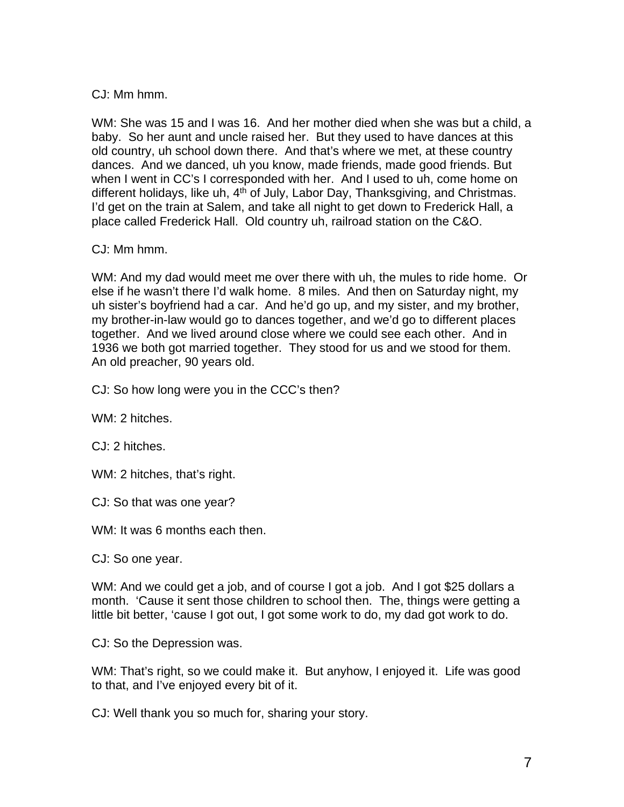CJ: Mm hmm.

WM: She was 15 and I was 16. And her mother died when she was but a child, a baby. So her aunt and uncle raised her. But they used to have dances at this old country, uh school down there. And that's where we met, at these country dances. And we danced, uh you know, made friends, made good friends. But when I went in CC's I corresponded with her. And I used to uh, come home on different holidays, like uh, 4<sup>th</sup> of July, Labor Day, Thanksgiving, and Christmas. I'd get on the train at Salem, and take all night to get down to Frederick Hall, a place called Frederick Hall. Old country uh, railroad station on the C&O.

### CJ: Mm hmm.

WM: And my dad would meet me over there with uh, the mules to ride home. Or else if he wasn't there I'd walk home. 8 miles. And then on Saturday night, my uh sister's boyfriend had a car. And he'd go up, and my sister, and my brother, my brother-in-law would go to dances together, and we'd go to different places together. And we lived around close where we could see each other. And in 1936 we both got married together. They stood for us and we stood for them. An old preacher, 90 years old.

CJ: So how long were you in the CCC's then?

WM: 2 hitches.

CJ: 2 hitches.

WM: 2 hitches, that's right.

CJ: So that was one year?

WM: It was 6 months each then.

CJ: So one year.

WM: And we could get a job, and of course I got a job. And I got \$25 dollars a month. 'Cause it sent those children to school then. The, things were getting a little bit better, 'cause I got out, I got some work to do, my dad got work to do.

CJ: So the Depression was.

WM: That's right, so we could make it. But anyhow, I enjoyed it. Life was good to that, and I've enjoyed every bit of it.

CJ: Well thank you so much for, sharing your story.